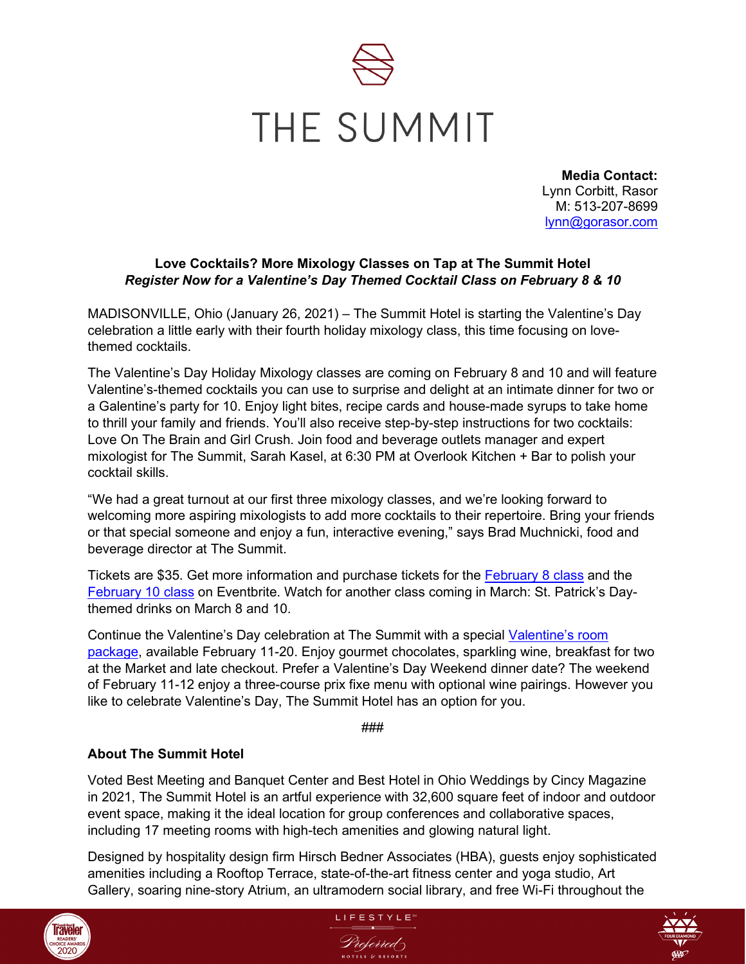

**Media Contact:** Lynn Corbitt, Rasor M: 513-207-8699 [lynn@gorasor.com](mailto:lynn@gorasor.com)

## **Love Cocktails? More Mixology Classes on Tap at The Summit Hotel** *Register Now for a Valentine's Day Themed Cocktail Class on February 8 & 10*

MADISONVILLE, Ohio (January 26, 2021) – The Summit Hotel is starting the Valentine's Day celebration a little early with their fourth holiday mixology class, this time focusing on lovethemed cocktails.

The Valentine's Day Holiday Mixology classes are coming on February 8 and 10 and will feature Valentine's-themed cocktails you can use to surprise and delight at an intimate dinner for two or a Galentine's party for 10. Enjoy light bites, recipe cards and house-made syrups to take home to thrill your family and friends. You'll also receive step-by-step instructions for two cocktails: Love On The Brain and Girl Crush. Join food and beverage outlets manager and expert mixologist for The Summit, Sarah Kasel, at 6:30 PM at Overlook Kitchen + Bar to polish your cocktail skills.

"We had a great turnout at our first three mixology classes, and we're looking forward to welcoming more aspiring mixologists to add more cocktails to their repertoire. Bring your friends or that special someone and enjoy a fun, interactive evening," says Brad Muchnicki, food and beverage director at The Summit.

Tickets are \$35. Get more information and purchase tickets for the [February 8 class](https://www.eventbrite.com/e/221385017547) and the [February 10 class](https://www.eventbrite.com/e/valentines-day-mixology-class-february-10th-tickets-207480909987) on Eventbrite. Watch for another class coming in March: St. Patrick's Daythemed drinks on March 8 and 10.

Continue the Valentine's Day celebration at The Summit with a special Valentine's room [package,](https://www.thesummithotel.com/offers-packages) available February 11-20. Enjoy gourmet chocolates, sparkling wine, breakfast for two at the Market and late checkout. Prefer a Valentine's Day Weekend dinner date? The weekend of February 11-12 enjoy a three-course prix fixe menu with optional wine pairings. However you like to celebrate Valentine's Day, The Summit Hotel has an option for you.

###

## **About The Summit Hotel**

Voted Best Meeting and Banquet Center and Best Hotel in Ohio Weddings by Cincy Magazine in 2021, The Summit Hotel is an artful experience with 32,600 square feet of indoor and outdoor event space, making it the ideal location for group conferences and collaborative spaces, including 17 meeting rooms with high-tech amenities and glowing natural light.

Designed by hospitality design firm Hirsch Bedner Associates (HBA), guests enjoy sophisticated amenities including a Rooftop Terrace, state-of-the-art fitness center and yoga studio, Art Gallery, soaring nine-story Atrium, an ultramodern social library, and free Wi-Fi throughout the